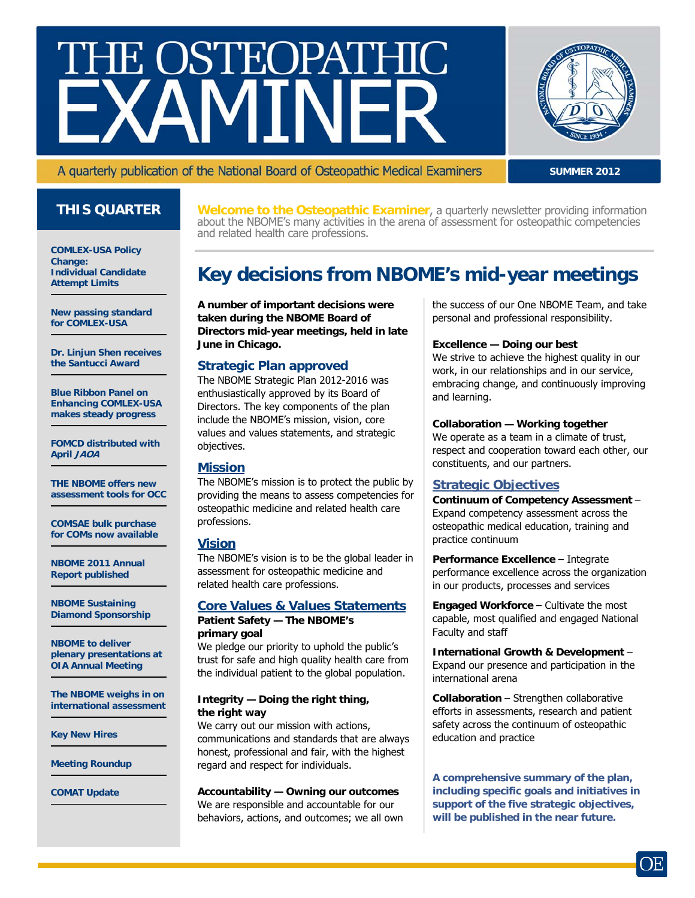# **HE OSTEOPATHIC**



#### A quarterly publication of the National Board of Osteopathic Medical Examiners

**SUMMER 2012**

**COMLEX-USA Policy Change: Individual Candidate Attempt Limits** 

**New passing standard for COMLEX-USA** 

**Dr. Linjun Shen receives the Santucci Award** 

**Blue Ribbon Panel on Enhancing COMLEX-USA makes steady progress** 

**FOMCD distributed with April JAOA** 

**THE NBOME offers new assessment tools for OCC** 

**COMSAE bulk purchase for COMs now available** 

**NBOME 2011 Annual Report published** 

**NBOME Sustaining Diamond Sponsorship** 

**NBOME to deliver plenary presentations at OIA Annual Meeting** 

**The NBOME weighs in on international assessment** 

**Key New Hires** 

**Meeting Roundup** 

**COMAT Update** 

**THIS QUARTER** Welcome to the Osteopathic Examiner, a quarterly newsletter providing information about the NBOME's many activities in the arena of assessment for osteopathic competencies and related health care professions.

## **Key decisions from NBOME's mid-year meetings**

**A number of important decisions were taken during the NBOME Board of Directors mid-year meetings, held in late June in Chicago.** 

#### **Strategic Plan approved**

The NBOME Strategic Plan 2012-2016 was enthusiastically approved by its Board of Directors. The key components of the plan include the NBOME's mission, vision, core values and values statements, and strategic objectives.

#### **Mission**

The NBOME's mission is to protect the public by providing the means to assess competencies for osteopathic medicine and related health care professions.

#### **Vision**

The NBOME's vision is to be the global leader in assessment for osteopathic medicine and related health care professions.

#### **Core Values & Values Statements Patient Safety — The NBOME's**

**primary goal** We pledge our priority to uphold the public's trust for safe and high quality health care from the individual patient to the global population.

#### **Integrity — Doing the right thing, the right way**

We carry out our mission with actions, communications and standards that are always honest, professional and fair, with the highest regard and respect for individuals.

#### **Accountability — Owning our outcomes**

We are responsible and accountable for our behaviors, actions, and outcomes; we all own the success of our One NBOME Team, and take personal and professional responsibility.

#### **Excellence — Doing our best**

We strive to achieve the highest quality in our work, in our relationships and in our service, embracing change, and continuously improving and learning.

#### **Collaboration — Working together**

We operate as a team in a climate of trust, respect and cooperation toward each other, our constituents, and our partners.

#### **Strategic Objectives**

**Continuum of Competency Assessment** – Expand competency assessment across the osteopathic medical education, training and practice continuum

**Performance Excellence** – Integrate performance excellence across the organization in our products, processes and services

**Engaged Workforce** – Cultivate the most capable, most qualified and engaged National Faculty and staff

**International Growth & Development** – Expand our presence and participation in the international arena

**Collaboration** – Strengthen collaborative efforts in assessments, research and patient safety across the continuum of osteopathic education and practice

**A comprehensive summary of the plan, including specific goals and initiatives in support of the five strategic objectives, will be published in the near future.**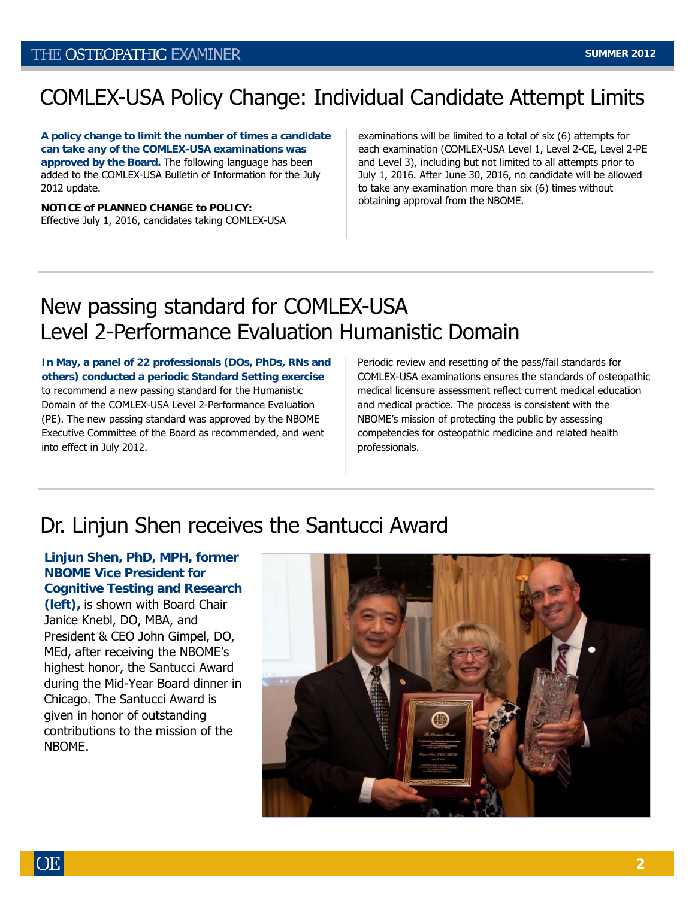# COMLEX-USA Policy Change: Individual Candidate Attempt Limits

**A policy change to limit the number of times a candidate can take any of the COMLEX-USA examinations was approved by the Board.** The following language has been added to the COMLEX-USA Bulletin of Information for the July 2012 update.

**NOTICE of PLANNED CHANGE to POLICY:** Effective July 1, 2016, candidates taking COMLEX-USA examinations will be limited to a total of six (6) attempts for each examination (COMLEX-USA Level 1, Level 2-CE, Level 2-PE and Level 3), including but not limited to all attempts prior to July 1, 2016. After June 30, 2016, no candidate will be allowed to take any examination more than six (6) times without obtaining approval from the NBOME.

## New passing standard for COMLEX-USA Level 2-Performance Evaluation Humanistic Domain

**In May, a panel of 22 professionals (DOs, PhDs, RNs and others) conducted a periodic Standard Setting exercise**  to recommend a new passing standard for the Humanistic Domain of the COMLEX-USA Level 2-Performance Evaluation (PE). The new passing standard was approved by the NBOME Executive Committee of the Board as recommended, and went into effect in July 2012.

Periodic review and resetting of the pass/fail standards for COMLEX-USA examinations ensures the standards of osteopathic medical licensure assessment reflect current medical education and medical practice. The process is consistent with the NBOME's mission of protecting the public by assessing competencies for osteopathic medicine and related health professionals.

## Dr. Linjun Shen receives the Santucci Award

**Linjun Shen, PhD, MPH, former NBOME Vice President for Cognitive Testing and Research (left),** is shown with Board Chair Janice Knebl, DO, MBA, and President & CEO John Gimpel, DO, MEd, after receiving the NBOME's highest honor, the Santucci Award during the Mid-Year Board dinner in Chicago. The Santucci Award is given in honor of outstanding contributions to the mission of the NBOME.

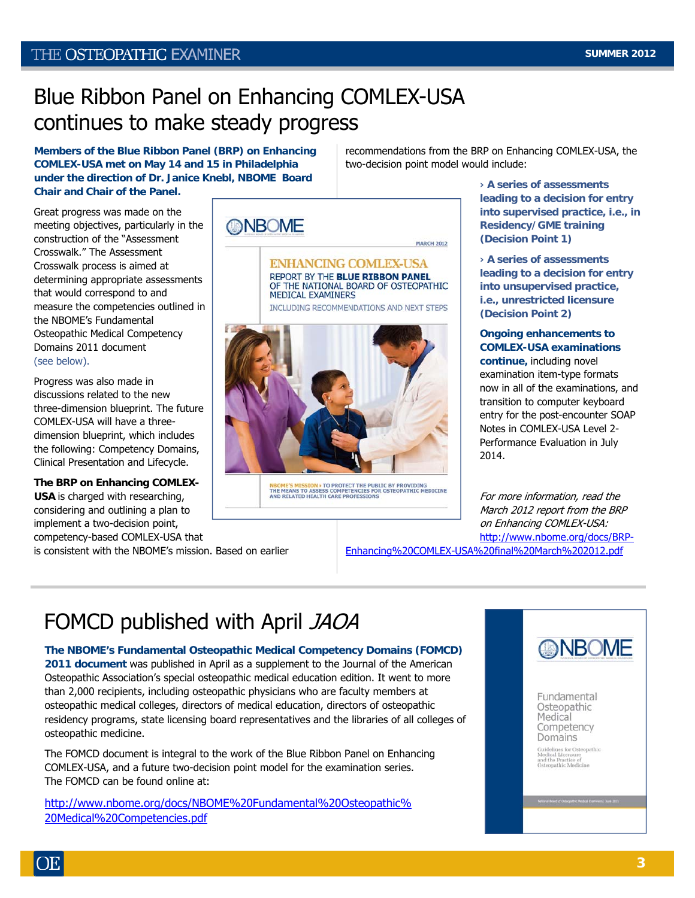## Blue Ribbon Panel on Enhancing COMLEX-USA continues to make steady progress

**Members of the Blue Ribbon Panel (BRP) on Enhancing COMLEX-USA met on May 14 and 15 in Philadelphia under the direction of Dr. Janice Knebl, NBOME Board Chair and Chair of the Panel.** 

Great progress was made on the meeting objectives, particularly in the construction of the "Assessment Crosswalk." The Assessment Crosswalk process is aimed at determining appropriate assessments that would correspond to and measure the competencies outlined in the NBOME's Fundamental Osteopathic Medical Competency Domains 2011 document (see below).

Progress was also made in discussions related to the new three-dimension blueprint. The future COMLEX-USA will have a threedimension blueprint, which includes the following: Competency Domains, Clinical Presentation and Lifecycle.

**The BRP on Enhancing COMLEX-USA** is charged with researching, considering and outlining a plan to implement a two-decision point, competency-based COMLEX-USA that is consistent with the NBOME's mission. Based on earlier

**ONBOME** 

**ENHANCING COMLEX-USA** REPORT BY THE BLUE RIBBON PANEL OF THE NATIONAL BOARD OF OSTEOPATHIC MEDICAL EXAMINERS

**MARCH 2012** 

INCLUDING RECOMMENDATIONS AND NEXT STEPS



NBOME'S MISSION » TO PROTECT THE PUBLIC BY PROVIDING<br>THE MEANS TO ASSESS COMPETENCIES FOR OSTEOPATHIC MEDICINE<br>AND RELATED HEALTH CARE PROFESSIONS

recommendations from the BRP on Enhancing COMLEX-USA, the two-decision point model would include:

**› A series of assessments leading to a decision for entry into supervised practice, i.e., in Residency/GME training (Decision Point 1)** 

**› A series of assessments leading to a decision for entry into unsupervised practice, i.e., unrestricted licensure (Decision Point 2)** 

#### **Ongoing enhancements to COMLEX-USA examinations**

**continue,** including novel examination item-type formats now in all of the examinations, and transition to computer keyboard entry for the post-encounter SOAP Notes in COMLEX-USA Level 2- Performance Evaluation in July 2014.

For more information, read the March 2012 report from the BRP on Enhancing COMLEX-USA: [http://www.nbome.org/docs/BRP-](http://www.nbome.org/docs/BRP-Enhancing%20COMLEX-USA%20final%20March%202012.pdf)

[Enhancing%20COMLEX-USA%20final%20March%202012.pdf](http://www.nbome.org/docs/BRP-Enhancing%20COMLEX-USA%20final%20March%202012.pdf)

# FOMCD published with April JAOA

**The NBOME's Fundamental Osteopathic Medical Competency Domains (FOMCD) 2011 document** was published in April as a supplement to the Journal of the American Osteopathic Association's special osteopathic medical education edition. It went to more than 2,000 recipients, including osteopathic physicians who are faculty members at osteopathic medical colleges, directors of medical education, directors of osteopathic residency programs, state licensing board representatives and the libraries of all colleges of osteopathic medicine.

The FOMCD document is integral to the work of the Blue Ribbon Panel on Enhancing COMLEX-USA, and a future two-decision point model for the examination series. The FOMCD can be found online at:

[http://www.nbome.org/docs/NBOME%20Fundamental%20Osteopathic%](http://www.nbome.org/docs/NBOME%20Fundamental%20Osteopathic%20Medical%20Competencies.pdf) [20Medical%20Competencies.pdf](http://www.nbome.org/docs/NBOME%20Fundamental%20Osteopathic%20Medical%20Competencies.pdf)

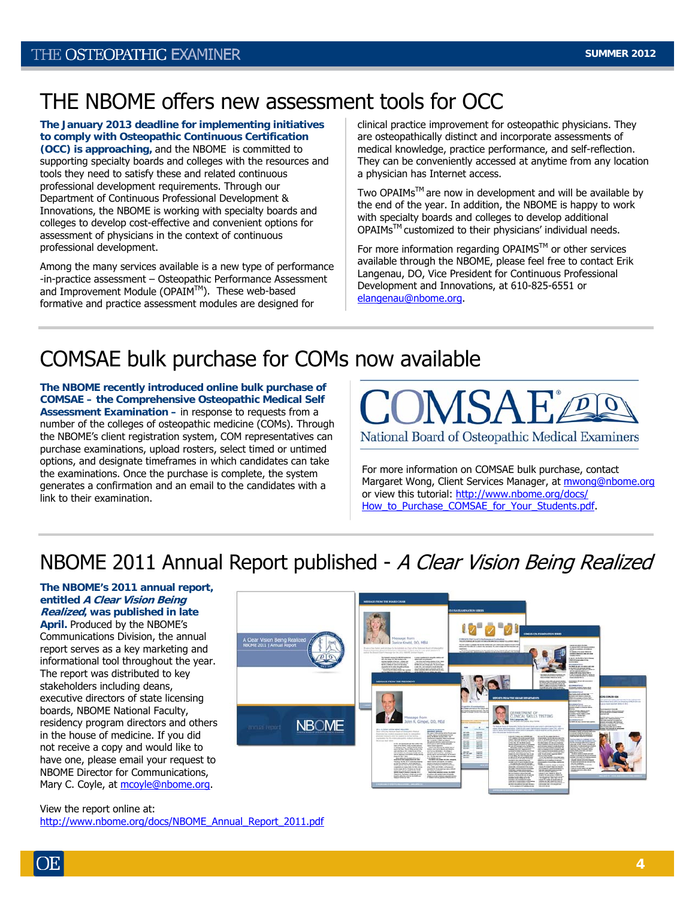## THE NBOME offers new assessment tools for OCC

**The January 2013 deadline for implementing initiatives to comply with Osteopathic Continuous Certification (OCC) is approaching,** and the NBOME is committed to supporting specialty boards and colleges with the resources and tools they need to satisfy these and related continuous professional development requirements. Through our Department of Continuous Professional Development & Innovations, the NBOME is working with specialty boards and colleges to develop cost-effective and convenient options for assessment of physicians in the context of continuous professional development.

Among the many services available is a new type of performance -in-practice assessment – Osteopathic Performance Assessment and Improvement Module (OPAIM™). These web-based formative and practice assessment modules are designed for

clinical practice improvement for osteopathic physicians. They are osteopathically distinct and incorporate assessments of medical knowledge, practice performance, and self-reflection. They can be conveniently accessed at anytime from any location a physician has Internet access.

Two OPAIMs™ are now in development and will be available by the end of the year. In addition, the NBOME is happy to work with specialty boards and colleges to develop additional OPAIMsTM customized to their physicians' individual needs.

For more information regarding OPAIMS™ or other services available through the NBOME, please feel free to contact Erik Langenau, DO, Vice President for Continuous Professional Development and Innovations, at 610-825-6551 or [elangenau@nbome.org.](mailto:elangenau@nbome.org)

## COMSAE bulk purchase for COMs now available

**The NBOME recently introduced online bulk purchase of COMSAE – the Comprehensive Osteopathic Medical Self Assessment Examination –** in response to requests from a number of the colleges of osteopathic medicine (COMs). Through the NBOME's client registration system, COM representatives can purchase examinations, upload rosters, select timed or untimed options, and designate timeframes in which candidates can take the examinations. Once the purchase is complete, the system generates a confirmation and an email to the candidates with a link to their examination.



For more information on COMSAE bulk purchase, contact Margaret Wong, Client Services Manager, at mwong@nbome.org or view this tutorial: [http://www.nbome.org/docs/](http://www.nbome.org/docs/How_to_Purchase_COMSAE_for_Your_Students.pdf) [How\\_to\\_Purchase\\_COMSAE\\_for\\_Your\\_Students.pdf.](http://www.nbome.org/docs/How_to_Purchase_COMSAE_for_Your_Students.pdf)

## NBOME 2011 Annual Report published - A Clear Vision Being Realized

#### **The NBOME's 2011 annual report, entitled A Clear Vision Being Realized, was published in late**

**April.** Produced by the NBOME's Communications Division, the annual report serves as a key marketing and informational tool throughout the year. The report was distributed to key stakeholders including deans, executive directors of state licensing boards, NBOME National Faculty, residency program directors and others in the house of medicine. If you did not receive a copy and would like to have one, please email your request to NBOME Director for Communications, Mary C. Coyle, at [mcoyle@nbome.org](mailto:mcoyle@nbome.org).



View the report online at: [http://www.nbome.org/docs/NBOME\\_Annual\\_Report\\_2011.pdf](http://www.nbome.org/docs/NBOME_Annual_Report_2011.pdf)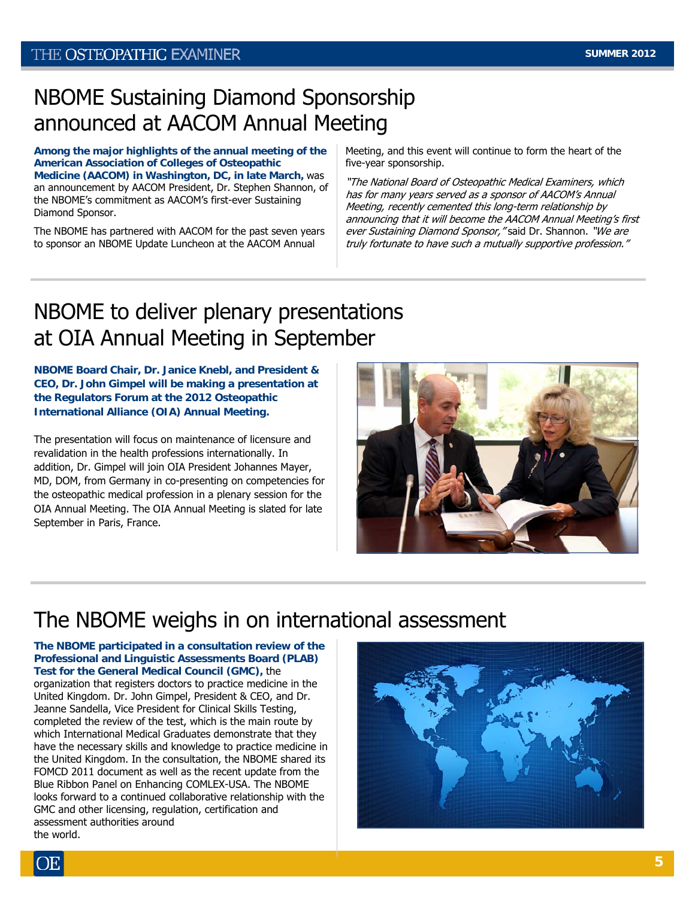## NBOME Sustaining Diamond Sponsorship announced at AACOM Annual Meeting

**Among the major highlights of the annual meeting of the American Association of Colleges of Osteopathic Medicine (AACOM) in Washington, DC, in late March,** was an announcement by AACOM President, Dr. Stephen Shannon, of the NBOME's commitment as AACOM's first-ever Sustaining Diamond Sponsor.

The NBOME has partnered with AACOM for the past seven years to sponsor an NBOME Update Luncheon at the AACOM Annual

Meeting, and this event will continue to form the heart of the five-year sponsorship.

"The National Board of Osteopathic Medical Examiners, which has for many years served as a sponsor of AACOM's Annual Meeting, recently cemented this long-term relationship by announcing that it will become the AACOM Annual Meeting's first ever Sustaining Diamond Sponsor, "said Dr. Shannon. "We are truly fortunate to have such a mutually supportive profession."

## NBOME to deliver plenary presentations at OIA Annual Meeting in September

**NBOME Board Chair, Dr. Janice Knebl, and President & CEO, Dr. John Gimpel will be making a presentation at the Regulators Forum at the 2012 Osteopathic International Alliance (OIA) Annual Meeting.** 

The presentation will focus on maintenance of licensure and revalidation in the health professions internationally. In addition, Dr. Gimpel will join OIA President Johannes Mayer, MD, DOM, from Germany in co-presenting on competencies for the osteopathic medical profession in a plenary session for the OIA Annual Meeting. The OIA Annual Meeting is slated for late September in Paris, France.



## The NBOME weighs in on international assessment

**The NBOME participated in a consultation review of the Professional and Linguistic Assessments Board (PLAB) Test for the General Medical Council (GMC),** the organization that registers doctors to practice medicine in the United Kingdom. Dr. John Gimpel, President & CEO, and Dr. Jeanne Sandella, Vice President for Clinical Skills Testing, completed the review of the test, which is the main route by which International Medical Graduates demonstrate that they have the necessary skills and knowledge to practice medicine in the United Kingdom. In the consultation, the NBOME shared its FOMCD 2011 document as well as the recent update from the Blue Ribbon Panel on Enhancing COMLEX-USA. The NBOME looks forward to a continued collaborative relationship with the GMC and other licensing, regulation, certification and assessment authorities around the world.

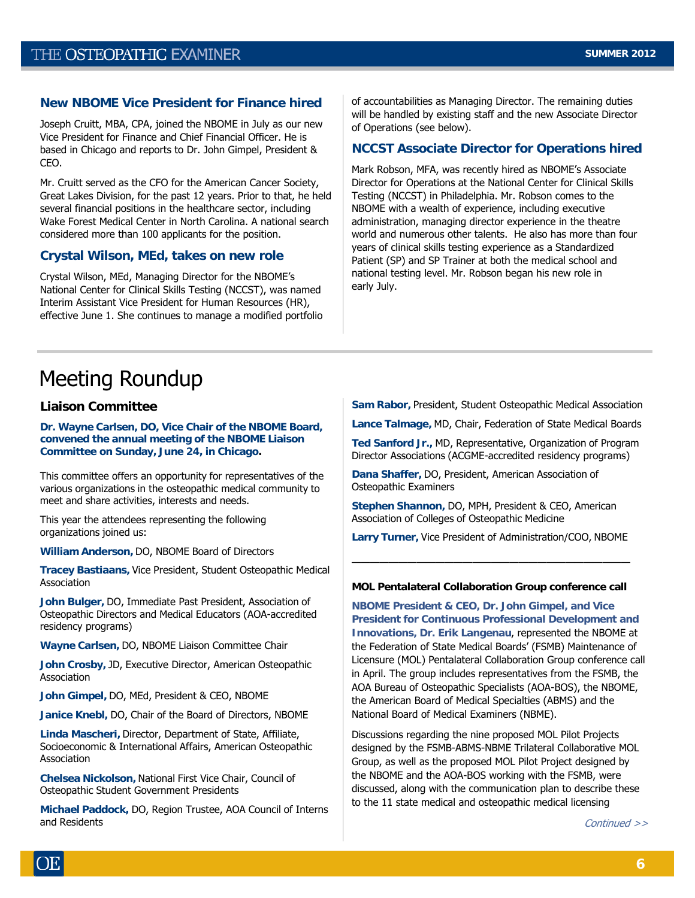#### **New NBOME Vice President for Finance hired**

Joseph Cruitt, MBA, CPA, joined the NBOME in July as our new Vice President for Finance and Chief Financial Officer. He is based in Chicago and reports to Dr. John Gimpel, President & CEO.

Mr. Cruitt served as the CFO for the American Cancer Society, Great Lakes Division, for the past 12 years. Prior to that, he held several financial positions in the healthcare sector, including Wake Forest Medical Center in North Carolina. A national search considered more than 100 applicants for the position.

#### **Crystal Wilson, MEd, takes on new role**

Crystal Wilson, MEd, Managing Director for the NBOME's National Center for Clinical Skills Testing (NCCST), was named Interim Assistant Vice President for Human Resources (HR), effective June 1. She continues to manage a modified portfolio of accountabilities as Managing Director. The remaining duties will be handled by existing staff and the new Associate Director of Operations (see below).

#### **NCCST Associate Director for Operations hired**

Mark Robson, MFA, was recently hired as NBOME's Associate Director for Operations at the National Center for Clinical Skills Testing (NCCST) in Philadelphia. Mr. Robson comes to the NBOME with a wealth of experience, including executive administration, managing director experience in the theatre world and numerous other talents. He also has more than four years of clinical skills testing experience as a Standardized Patient (SP) and SP Trainer at both the medical school and national testing level. Mr. Robson began his new role in early July.

## Meeting Roundup

#### **Liaison Committee**

**Dr. Wayne Carlsen, DO, Vice Chair of the NBOME Board, convened the annual meeting of the NBOME Liaison Committee on Sunday, June 24, in Chicago.** 

This committee offers an opportunity for representatives of the various organizations in the osteopathic medical community to meet and share activities, interests and needs.

This year the attendees representing the following organizations joined us:

**William Anderson,** DO, NBOME Board of Directors

**Tracey Bastiaans,** Vice President, Student Osteopathic Medical Association

**John Bulger,** DO, Immediate Past President, Association of Osteopathic Directors and Medical Educators (AOA-accredited residency programs)

**Wayne Carlsen,** DO, NBOME Liaison Committee Chair

**John Crosby,** JD, Executive Director, American Osteopathic Association

**John Gimpel,** DO, MEd, President & CEO, NBOME

**Janice Knebl,** DO, Chair of the Board of Directors, NBOME

**Linda Mascheri,** Director, Department of State, Affiliate, Socioeconomic & International Affairs, American Osteopathic Association

**Chelsea Nickolson,** National First Vice Chair, Council of Osteopathic Student Government Presidents

**Michael Paddock,** DO, Region Trustee, AOA Council of Interns and Residents

**Sam Rabor,** President, Student Osteopathic Medical Association

**Lance Talmage,** MD, Chair, Federation of State Medical Boards

**Ted Sanford Jr.,** MD, Representative, Organization of Program Director Associations (ACGME-accredited residency programs)

**Dana Shaffer,** DO, President, American Association of Osteopathic Examiners

**Stephen Shannon,** DO, MPH, President & CEO, American Association of Colleges of Osteopathic Medicine

**Larry Turner,** Vice President of Administration/COO, NBOME

——————————————————————————————

#### **MOL Pentalateral Collaboration Group conference call**

**NBOME President & CEO, Dr. John Gimpel, and Vice President for Continuous Professional Development and Innovations, Dr. Erik Langenau**, represented the NBOME at the Federation of State Medical Boards' (FSMB) Maintenance of Licensure (MOL) Pentalateral Collaboration Group conference call in April. The group includes representatives from the FSMB, the AOA Bureau of Osteopathic Specialists (AOA-BOS), the NBOME, the American Board of Medical Specialties (ABMS) and the National Board of Medical Examiners (NBME).

Discussions regarding the nine proposed MOL Pilot Projects designed by the FSMB-ABMS-NBME Trilateral Collaborative MOL Group, as well as the proposed MOL Pilot Project designed by the NBOME and the AOA-BOS working with the FSMB, were discussed, along with the communication plan to describe these to the 11 state medical and osteopathic medical licensing

Continued >>